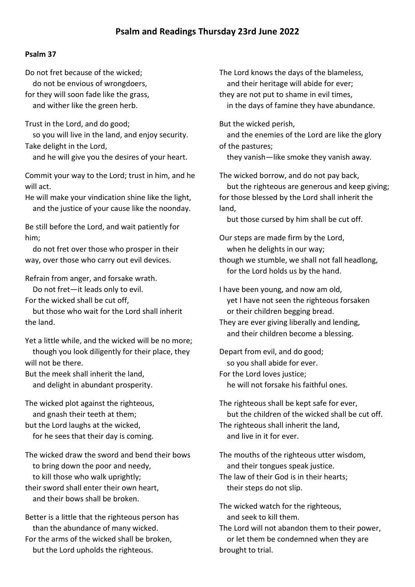## **Psalm 37**

Do not fret because of the wicked; do not be envious of wrongdoers,

for they will soon fade like the grass, and wither like the green herb.

Trust in the Lord, and do good; so you will live in the land, and enjoy security. Take delight in the Lord,

and he will give you the desires of your heart.

Commit your way to the Lord; trust in him, and he will act.

He will make your vindication shine like the light, and the justice of your cause like the noonday.

Be still before the Lord, and wait patiently for him;

 do not fret over those who prosper in their way, over those who carry out evil devices.

Refrain from anger, and forsake wrath.

Do not fret—it leads only to evil.

For the wicked shall be cut off,

 but those who wait for the Lord shall inherit the land.

Yet a little while, and the wicked will be no more; though you look diligently for their place, they will not be there.

But the meek shall inherit the land, and delight in abundant prosperity.

The wicked plot against the righteous, and gnash their teeth at them;

but the Lord laughs at the wicked,

for he sees that their day is coming.

The wicked draw the sword and bend their bows to bring down the poor and needy, to kill those who walk uprightly; their sword shall enter their own heart,

and their bows shall be broken.

Better is a little that the righteous person has than the abundance of many wicked. For the arms of the wicked shall be broken, but the Lord upholds the righteous.

The Lord knows the days of the blameless, and their heritage will abide for ever; they are not put to shame in evil times,

in the days of famine they have abundance.

But the wicked perish,

 and the enemies of the Lord are like the glory of the pastures;

they vanish—like smoke they vanish away.

The wicked borrow, and do not pay back, but the righteous are generous and keep giving; for those blessed by the Lord shall inherit the land,

but those cursed by him shall be cut off.

Our steps are made firm by the Lord, when he delights in our way; though we stumble, we shall not fall headlong, for the Lord holds us by the hand.

I have been young, and now am old, yet I have not seen the righteous forsaken

or their children begging bread.

They are ever giving liberally and lending, and their children become a blessing.

Depart from evil, and do good; so you shall abide for ever. For the Lord loves justice; he will not forsake his faithful ones.

The righteous shall be kept safe for ever, but the children of the wicked shall be cut off. The righteous shall inherit the land, and live in it for ever.

The mouths of the righteous utter wisdom, and their tongues speak justice. The law of their God is in their hearts; their steps do not slip.

The wicked watch for the righteous, and seek to kill them.

The Lord will not abandon them to their power, or let them be condemned when they are brought to trial.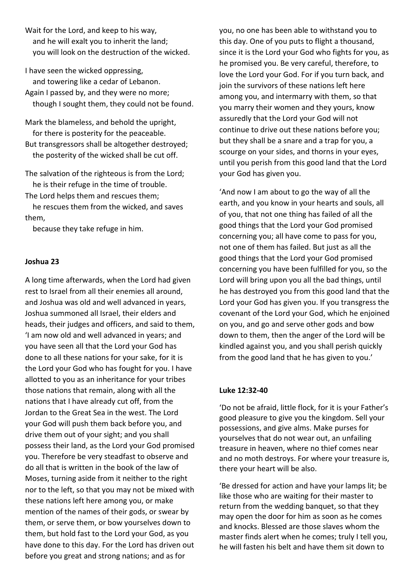Wait for the Lord, and keep to his way, and he will exalt you to inherit the land; you will look on the destruction of the wicked.

I have seen the wicked oppressing, and towering like a cedar of Lebanon. Again I passed by, and they were no more; though I sought them, they could not be found.

Mark the blameless, and behold the upright, for there is posterity for the peaceable. But transgressors shall be altogether destroyed; the posterity of the wicked shall be cut off.

The salvation of the righteous is from the Lord; he is their refuge in the time of trouble.

The Lord helps them and rescues them;

 he rescues them from the wicked, and saves them,

because they take refuge in him.

## **Joshua 23**

A long time afterwards, when the Lord had given rest to Israel from all their enemies all around, and Joshua was old and well advanced in years, Joshua summoned all Israel, their elders and heads, their judges and officers, and said to them, 'I am now old and well advanced in years; and you have seen all that the Lord your God has done to all these nations for your sake, for it is the Lord your God who has fought for you. I have allotted to you as an inheritance for your tribes those nations that remain, along with all the nations that I have already cut off, from the Jordan to the Great Sea in the west. The Lord your God will push them back before you, and drive them out of your sight; and you shall possess their land, as the Lord your God promised you. Therefore be very steadfast to observe and do all that is written in the book of the law of Moses, turning aside from it neither to the right nor to the left, so that you may not be mixed with these nations left here among you, or make mention of the names of their gods, or swear by them, or serve them, or bow yourselves down to them, but hold fast to the Lord your God, as you have done to this day. For the Lord has driven out before you great and strong nations; and as for

you, no one has been able to withstand you to this day. One of you puts to flight a thousand, since it is the Lord your God who fights for you, as he promised you. Be very careful, therefore, to love the Lord your God. For if you turn back, and join the survivors of these nations left here among you, and intermarry with them, so that you marry their women and they yours, know assuredly that the Lord your God will not continue to drive out these nations before you; but they shall be a snare and a trap for you, a scourge on your sides, and thorns in your eyes, until you perish from this good land that the Lord your God has given you.

'And now I am about to go the way of all the earth, and you know in your hearts and souls, all of you, that not one thing has failed of all the good things that the Lord your God promised concerning you; all have come to pass for you, not one of them has failed. But just as all the good things that the Lord your God promised concerning you have been fulfilled for you, so the Lord will bring upon you all the bad things, until he has destroyed you from this good land that the Lord your God has given you. If you transgress the covenant of the Lord your God, which he enjoined on you, and go and serve other gods and bow down to them, then the anger of the Lord will be kindled against you, and you shall perish quickly from the good land that he has given to you.'

## **Luke 12:32-40**

'Do not be afraid, little flock, for it is your Father's good pleasure to give you the kingdom. Sell your possessions, and give alms. Make purses for yourselves that do not wear out, an unfailing treasure in heaven, where no thief comes near and no moth destroys. For where your treasure is, there your heart will be also.

'Be dressed for action and have your lamps lit; be like those who are waiting for their master to return from the wedding banquet, so that they may open the door for him as soon as he comes and knocks. Blessed are those slaves whom the master finds alert when he comes; truly I tell you, he will fasten his belt and have them sit down to